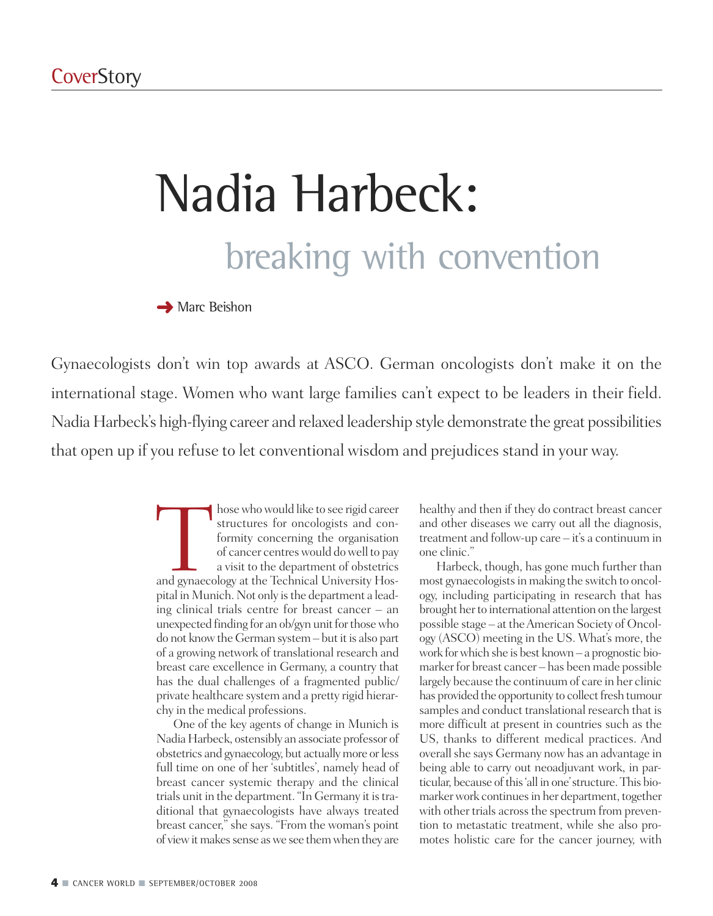# Nadia Harbeck: breaking with convention

**➜** Marc Beishon

Gynaecologists don't win top awards at ASCO. German oncologists don't make it on the international stage. Women who want large families can't expect to be leaders in their field. Nadia Harbeck's high-flying career and relaxed leadership style demonstrate the great possibilities that open up if you refuse to let conventional wisdom and prejudices stand in your way.

> Those who would like to see rigid career<br>structures for oncologists and con-<br>formity concerning the organisation<br>of cancer centres would do well to pay<br>a visit to the department of obstetrics<br>and gynaecology at the Technic structures for oncologists and conformity concerning the organisation of cancer centreswould dowell to pay a visit to the department of obstetrics pital in Munich. Not only is the department a leading clinical trials centre for breast cancer – an unexpected finding for an ob/gyn unit for those who do not know the German system – but it is also part of a growing network of translational research and breast care excellence in Germany, a country that has the dual challenges of a fragmented public/ private healthcare system and a pretty rigid hierarchy in the medical professions.

> One of the key agents of change in Munich is NadiaHarbeck, ostensibly an associate professor of obstetrics and gynaecology, but actuallymore orless full time on one of her 'subtitles', namely head of breast cancer systemic therapy and the clinical trials unit in the department. "In Germany it is traditional that gynaecologists have always treated breast cancer," she says. "From the woman's point of view it makes sense as we see them when they are

healthy and then if they do contract breast cancer and other diseases we carry out all the diagnosis, treatment and follow-up care – it's a continuum in one clinic."

Harbeck, though, has gone much further than most gynaecologists in making the switch to oncology, including participating in research that has brought her to international attention on the largest possible stage – at theAmerican Society of Oncology (ASCO) meeting in the US. What's more, the work forwhich she is best known – a prognostic biomarker for breast cancer – has been made possible largely because the continuum of care in her clinic has provided the opportunity to collect fresh tumour samples and conduct translational research that is more difficult at present in countries such as the US, thanks to different medical practices. And overall she says Germany now has an advantage in being able to carry out neoadjuvant work, in particular, because of this 'all in one' structure. This biomarker work continues in her department, together with other trials across the spectrum from prevention to metastatic treatment, while she also promotes holistic care for the cancer journey, with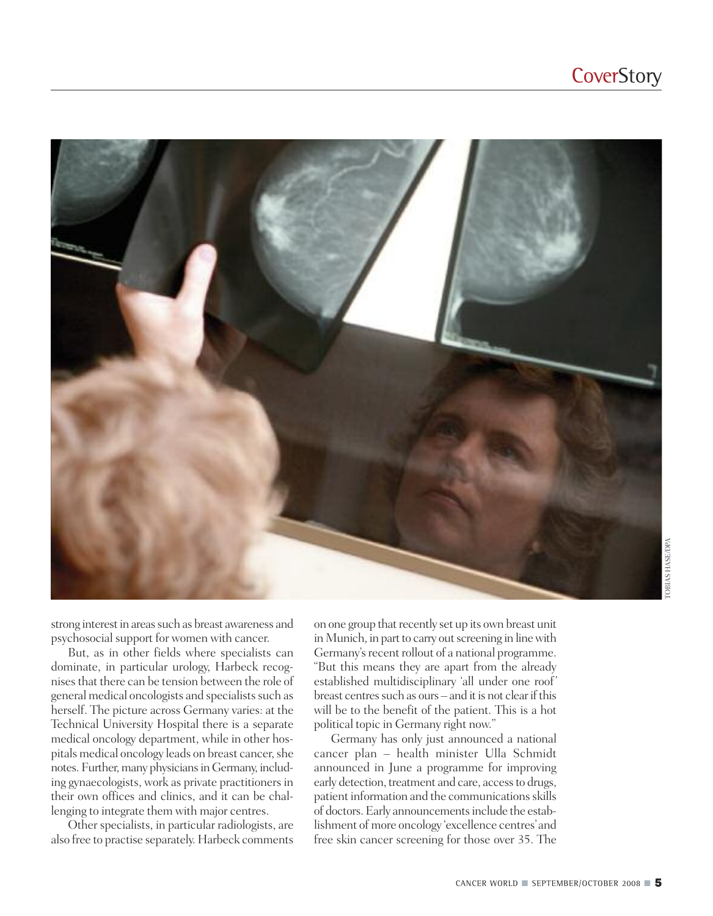

strong interest in areas such as breast awareness and psychosocial support for women with cancer.

But, as in other fields where specialists can dominate, in particular urology, Harbeck recognisesthat there can be tension between the role of general medical oncologists and specialists such as herself. The picture across Germany varies: at the Technical University Hospital there is a separate medical oncology department, while in other hospitals medical oncology leads on breast cancer, she notes. Further, many physicians in Germany, including gynaecologists, work as private practitioners in their own offices and clinics, and it can be challenging to integrate them with major centres.

Other specialists, in particular radiologists, are also free to practise separately. Harbeck comments on one group that recently set up its own breast unit in Munich, in part to carry out screening in line with Germany's recent rollout of a national programme. "But this means they are apart from the already established multidisciplinary 'all under one roof' breast centres such as ours – and it is not clear if this will be to the benefit of the patient. This is a hot political topic in Germany right now."

Germany has only just announced a national cancer plan – health minister Ulla Schmidt announced in June a programme for improving early detection, treatment and care, access to drugs, patient information and the communications skills of doctors.Early announcementsinclude the establishment of more oncology 'excellence centres'and free skin cancer screening for those over 35. The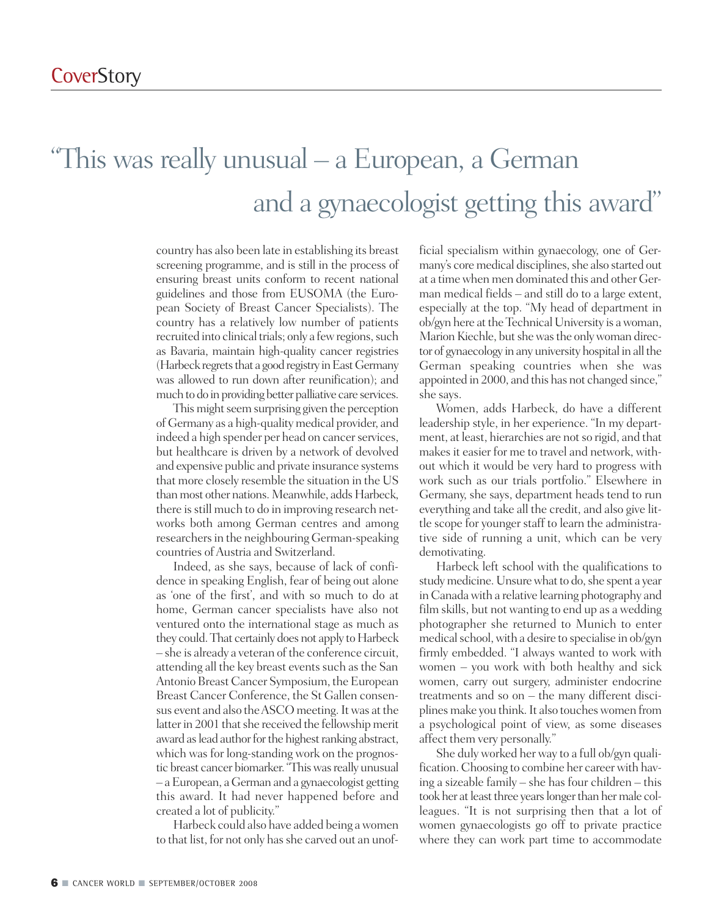### "This was really unusual – a European, a German and a gynaecologist getting this award"

country has also been late in establishing its breast screening programme, and is still in the process of ensuring breast units conform to recent national guidelines and those from EUSOMA (the European Society of Breast Cancer Specialists). The country has a relatively low number of patients recruited into clinical trials; only a few regions, such as Bavaria, maintain high-quality cancer registries (Harbeck regrets that a good registry in East Germany was allowed to run down after reunification); and much to do in providing better palliative care services.

This might seem surprising given the perception of Germany as a high-qualitymedical provider, and indeed a high spender per head on cancer services, but healthcare is driven by a network of devolved and expensive public and private insurance systems that more closely resemble the situation in the US than most other nations. Meanwhile, adds Harbeck, there is still much to do in improving research networks both among German centres and among researchers in the neighbouring German-speaking countries of Austria and Switzerland.

Indeed, as she says, because of lack of confidence in speaking English, fear of being out alone as 'one of the first', and with so much to do at home, German cancer specialists have also not ventured onto the international stage as much as they could. That certainly does not apply to Harbeck – she is already a veteran of the conference circuit, attending all the key breast events such as the San Antonio Breast Cancer Symposium, the European Breast Cancer Conference, the St Gallen consensus event and also the ASCO meeting. It was at the latter in 2001 that she received the fellowship merit award as lead author for the highest ranking abstract, which was for long-standing work on the prognostic breast cancer biomarker. "This was really unusual – aEuropean, aGerman and a gynaecologist getting this award. It had never happened before and created a lot of publicity."

Harbeck could also have added being awomen to that list, for not only has she carved out an unofficial specialism within gynaecology, one of Germany's core medical disciplines, she also started out at a timewhen men dominated this and other German medical fields – and still do to a large extent, especially at the top. "My head of department in ob/gyn here at the Technical University is a woman, Marion Kiechle, but she was the only woman director of gynaecology in any university hospital in all the German speaking countries when she was appointed in 2000, and this has not changed since," she says.

Women, adds Harbeck, do have a different leadership style, in her experience. "In my department, at least, hierarchies are not so rigid, and that makes it easier for me to travel and network, without which it would be very hard to progress with work such as our trials portfolio." Elsewhere in Germany, she says, department heads tend to run everything and take all the credit, and also give little scope for younger staff to learn the administrative side of running a unit, which can be very demotivating.

Harbeck left school with the qualifications to study medicine. Unsure what to do, she spent a year in Canada with a relative learning photography and film skills, but not wanting to end up as a wedding photographer she returned to Munich to enter medical school, with a desire to specialise in ob/gyn firmly embedded. "I always wanted to work with women – you work with both healthy and sick women, carry out surgery, administer endocrine treatments and so on – the many different disciplines make you think. It also touches women from a psychological point of view, as some diseases affect them very personally."

She duly worked her way to a full ob/gyn qualification. Choosing to combine her career with having a sizeable family – she has four children – this took her at least three years longer than her male colleagues. "It is not surprising then that a lot of women gynaecologists go off to private practice where they can work part time to accommodate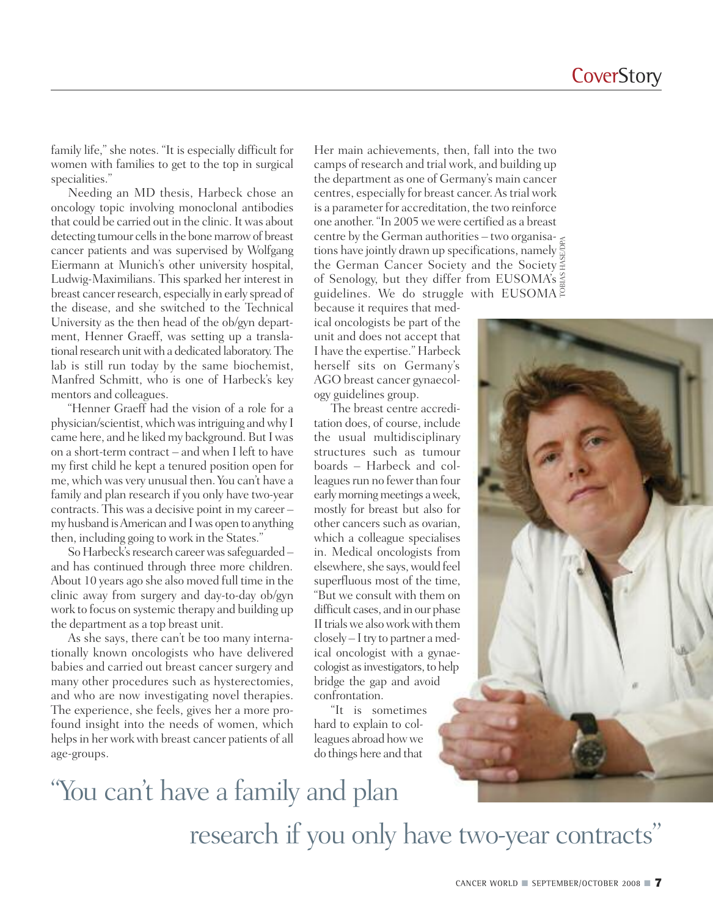family life," she notes. "It is especially difficult for women with families to get to the top in surgical specialities."

Needing an MD thesis, Harbeck chose an oncology topic involving monoclonal antibodies that could be carried out in the clinic. It was about detecting tumour cells in the bone marrow of breast cancer patients and was supervised by Wolfgang Eiermann at Munich's other university hospital, Ludwig-Maximilians. This sparked her interest in breast cancer research, especially in early spread of the disease, and she switched to the Technical University as the then head of the ob/gyn department, Henner Graeff, was setting up a translational research unit with a dedicated laboratory. The lab is still run today by the same biochemist, Manfred Schmitt, who is one of Harbeck's key mentors and colleagues.

"Henner Graeff had the vision of a role for a physician/scientist,whichwasintriguing andwhy I came here, and he liked my background. But I was on a short-term contract – and when I left to have my first child he kept a tenured position open for me, which was very unusual then. You can't have a family and plan research if you only have two-year contracts. This was a decisive point in my career – my husband isAmerican and Iwas open to anything then, including going to work in the States."

So Harbeck's research career was safeguarded – and has continued through three more children. About 10 years ago she also moved full time in the clinic away from surgery and day-to-day ob/gyn work to focus on systemic therapy and building up the department as a top breast unit.

As she says, there can't be too many internationally known oncologists who have delivered babies and carried out breast cancer surgery and many other procedures such as hysterectomies, and who are now investigating novel therapies. The experience, she feels, gives her a more profound insight into the needs of women, which helps in her work with breast cancer patients of all age-groups.

Her main achievements, then, fall into the two camps of research and trial work, and building up the department as one of Germany's main cancer centres, especially for breast cancer.Astrial work is a parameter for accreditation, the two reinforce one another. "In 2005 we were certified as a breast centre by the German authorities – two organisations have jointly drawn up specifications, namely the German Cancer Society and the Society of Senology, but they differ from EUSOMA's guidelines. We do struggle with EUSOMA TOBIAS HASE/DPA

because it requires that medical oncologists be part of the unit and does not accept that I have the expertise." Harbeck herself sits on Germany's AGO breast cancer gynaecology guidelines group.

The breast centre accreditation does, of course, include the usual multidisciplinary structures such as tumour boards – Harbeck and colleagues run no fewer than four early morning meetings a week, mostly for breast but also for other cancers such as ovarian, which a colleague specialises in. Medical oncologists from elsewhere, she says, would feel superfluous most of the time, "But we consult with them on difficult cases, and in our phase II trials we also work with them  $\text{closely}-\text{I}$  try to partner a medical oncologist with a gynaecologist as investigators, to help bridge the gap and avoid confrontation.

"It is sometimes hard to explain to colleagues abroad howwe do things here and that

# "You can 't have a family and plan research if you only have two-year contracts "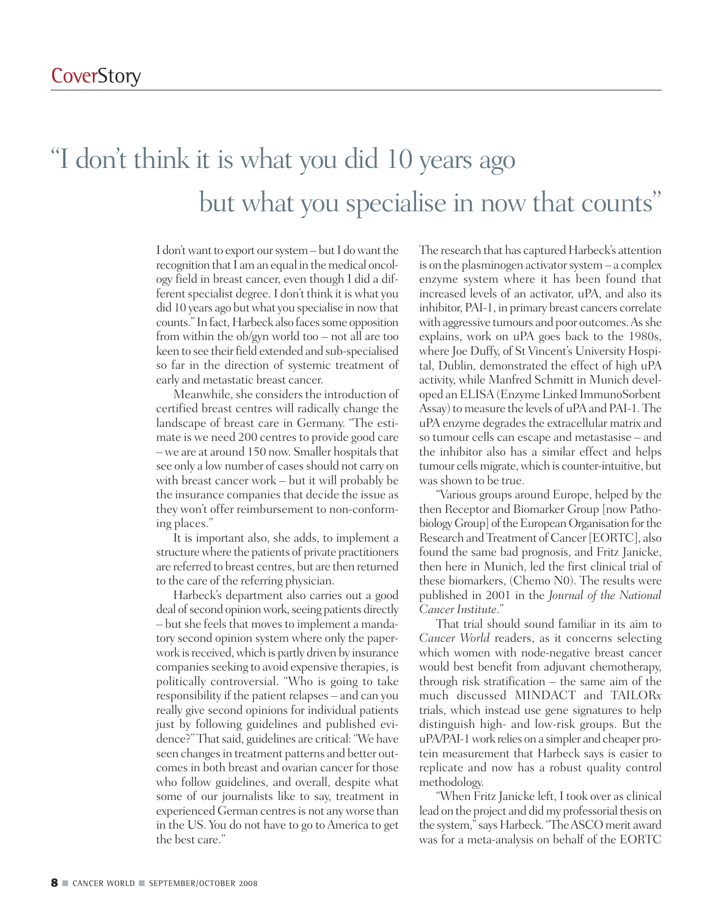# "I don 't think it is what you did 10 years ago but what you specialise in now that counts "

I don't want to export our system – but I do want the recognition that I am an equal in the medical oncology field in breast cancer, even though I did a different specialist degree. I don't think it is what you did 10 years ago but what you specialise in now that counts." In fact, Harbeck also faces some opposition from within the ob/gyn world too – not all are too keen to see their field extended and sub-specialised so far in the direction of systemic treatment of early and metastatic breast cancer.

Meanwhile, she considers the introduction of certified breast centres will radically change the landscape of breast care in Germany. "The estimate is we need 200 centres to provide good care  $-$  we are at around 150 now. Smaller hospitals that see only a low number of cases should not carry on with breast cancer work – but it will probably be the insurance companies that decide the issue as they won't offer reimbursement to non-conforming places."

It is important also, she adds, to implement a structure where the patients of private practitioners are referred to breast centres, but are then returned to the care of the referring physician.

Harbeck's department also carries out a good deal of second opinion work, seeing patients directly – but she feels that moves to implement a mandatory second opinion system where only the paperwork is received, which is partly driven by insurance companies seeking to avoid expensive therapies, is politically controversial. "Who is going to take responsibility if the patient relapses – and can you really give second opinions for individual patients just by following guidelines and published evidence?" That said, guidelines are critical: "We have seen changes in treatment patterns and better outcomes in both breast and ovarian cancer for those who follow guidelines, and overall, despite what some of our journalists like to say, treatment in experienced German centresis not anyworse than in the US. You do not have to go to America to get the best care."

The research that has captured Harbeck's attention is on the plasminogen activator system  $-$  a complex enzyme system where it has been found that increased levels of an activator, uPA, and also its inhibitor, PAI-1, in primary breast cancers correlate with aggressive tumours and poor outcomes. As she explains, work on uPA goes back to the 1980s, where Joe Duffy, of St Vincent's University Hospital, Dublin, demonstrated the effect of high uPA activity, while Manfred Schmitt in Munich developed an ELISA(Enzyme Linked ImmunoSorbent Assay) to measure the levels of uPA and PAI-1. The uPA enzyme degrades the extracellular matrix and so tumour cells can escape and metastasise – and the inhibitor also has a similar effect and helps tumour cells migrate, which is counter-intuitive, but was shown to be true.

"Various groups around Europe, helped by the then Receptor and Biomarker Group [now Pathobiology Group] of the European Organisation for the Research and Treatment of Cancer[EORTC], also found the same bad prognosis, and Fritz Janicke, then here in Munich, led the first clinical trial of these biomarkers, (Chemo N0). The results were published in 2001 in the *Journal of the National Cancer Institute*."

That trial should sound familiar in its aim to *Cancer World* readers, as it concerns selecting which women with node-negative breast cancer would best benefit from adjuvant chemotherapy, through risk stratification – the same aim of the much discussed MINDACT and TAILOR*x* trials, which instead use gene signatures to help distinguish high- and low-risk groups. But the uPA/PAI-1 work relies on a simpler and cheaper protein measurement that Harbeck says is easier to replicate and now has a robust quality control methodology.

"When Fritz Janicke left, I took over as clinical lead on the project and did my professorial thesis on the system," says Harbeck. "The ASCO merit award was for a meta-analysis on behalf of the EORTC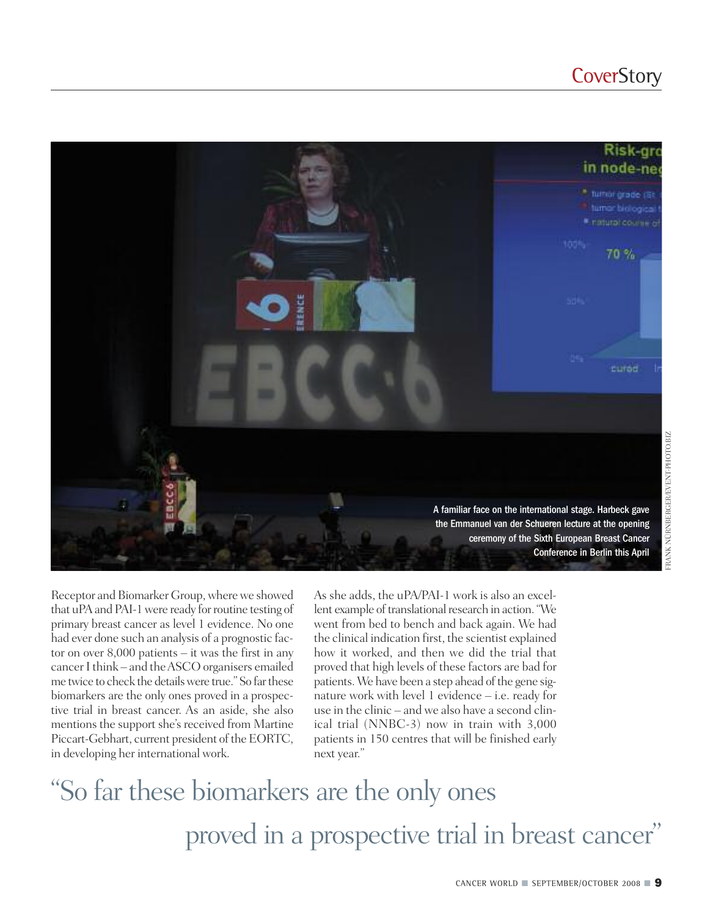#### **CoverStory**



Receptor and Biomarker Group, where we showed that uPA and PAI-1 were ready for routine testing of primary breast cancer as level 1 evidence. No one had ever done such an analysis of a prognostic factor on over 8,000 patients – it was the first in any cancerIthink – and theASCO organisers emailed me twice to check the detailswere true." So farthese biomarkers are the only ones proved in a prospective trial in breast cancer. As an aside, she also mentions the support she's received from Martine Piccart-Gebhart, current president of the EORTC, in developing her international work.

As she adds, the uPA/PAI-1 work is also an excellent example of translational research in action. "We went from bed to bench and back again. We had the clinical indication first, the scientist explained how it worked, and then we did the trial that proved that high levels of these factors are bad for patients. We have been a step ahead of the gene signature work with level 1 evidence – i.e. ready for use in the clinic – and we also have a second clinical trial (NNBC-3) now in train with 3,000 patients in 150 centres that will be finished early next year."

# "So far these biomarkers are the only ones proved in a prospective trial in breast cancer"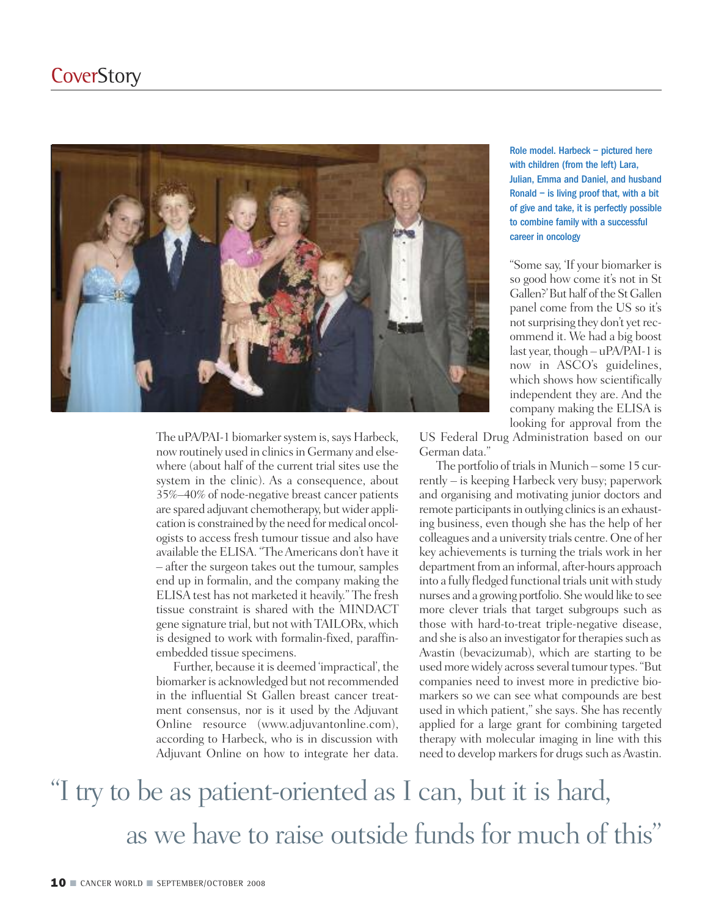

The uPA/PAI-1 biomarker system is, says Harbeck, now routinely used in clinics in Germany and elsewhere (about half of the current trial sites use the system in the clinic). As a consequence, about 35%–40% of node-negative breast cancer patients are spared adjuvant chemotherapy, but wider application is constrained by the need for medical oncologists to access fresh tumour tissue and also have available the ELISA. "TheAmericans don't have it – after the surgeon takes out the tumour, samples end up in formalin, and the company making the ELISA test has not marketed it heavily." The fresh tissue constraint is shared with the MINDACT gene signature trial, but notwith TAILORx,which is designed to work with formalin-fixed, paraffinembedded tissue specimens.

Further, because it is deemed 'impractical', the biomarker is acknowledged but not recommended in the influential St Gallen breast cancer treatment consensus, nor is it used by the Adjuvant Online resource (www.adjuvantonline.com), according to Harbeck, who is in discussion with Adjuvant Online on how to integrate her data. Role model. Harbeck – pictured here with children (from the left) Lara, Julian, Emma and Daniel, and husband Ronald – is living proof that, with a bit of give and take, it is perfectly possible to combine family with a successful career in oncology

"Some say, 'If your biomarker is so good how come it's not in St Gallen?'But half of the St Gallen panel come from the US so it's not surprising they don't yet recommend it. We had a big boost last year, though – uPA/PAI-1 is now in ASCO's guidelines, which shows how scientifically independent they are. And the company making the ELISA is looking for approval from the

US Federal Drug Administration based on our German data."

The portfolio of trials in Munich – some 15 currently – is keeping Harbeck very busy; paperwork and organising and motivating junior doctors and remote participants in outlying clinics is an exhausting business, even though she has the help of her colleagues and a university trials centre. One of her key achievements is turning the trials work in her department from an informal, after-hours approach into a fully fledged functional trials unit with study nurses and a growing portfolio. Shewould like to see more clever trials that target subgroups such as those with hard-to-treat triple-negative disease, and she is also an investigator for therapies such as Avastin (bevacizumab), which are starting to be used more widely across several tumour types. "But companies need to invest more in predictive biomarkers so we can see what compounds are best used in which patient," she says. She has recently applied for a large grant for combining targeted therapy with molecular imaging in line with this need to develop markers for drugs such as Avastin.

### "I try to be as patient-oriented as I can, but it is hard, as we have to raise outside funds for much of this "